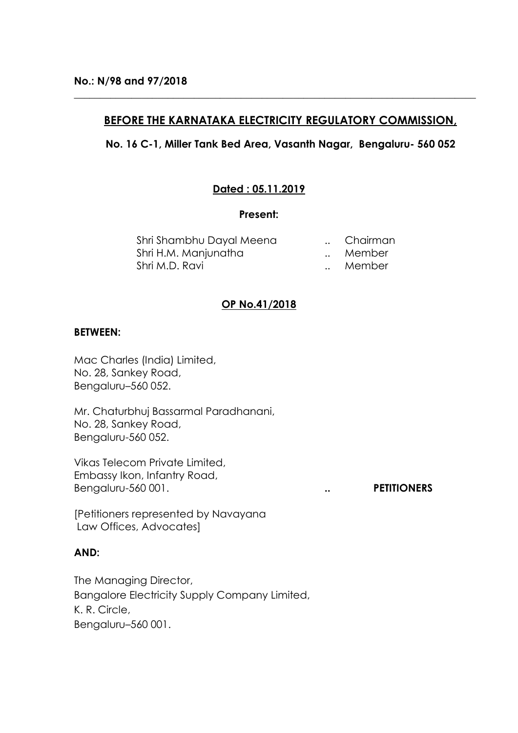# **BEFORE THE KARNATAKA ELECTRICITY REGULATORY COMMISSION,**

**\_\_\_\_\_\_\_\_\_\_\_\_\_\_\_\_\_\_\_\_\_\_\_\_\_\_\_\_\_\_\_\_\_\_\_\_\_\_\_\_\_\_\_\_\_\_\_\_\_\_\_\_\_\_\_\_\_\_\_\_\_\_\_\_\_\_\_\_\_\_\_\_\_\_\_\_\_**

## **No. 16 C-1, Miller Tank Bed Area, Vasanth Nagar, Bengaluru- 560 052**

# **Dated : 05.11.2019**

### **Present:**

Shri Shambhu Dayal Meena ... Chairman Shri H.M. Manjunatha ... Member Shri M.D. Ravi **... Shri M.D. Ravi** ... Member

# **OP No.41/2018**

## **BETWEEN:**

Mac Charles (India) Limited, No. 28, Sankey Road, Bengaluru–560 052.

Mr. Chaturbhuj Bassarmal Paradhanani, No. 28, Sankey Road, Bengaluru-560 052.

Vikas Telecom Private Limited, Embassy Ikon, Infantry Road, Bengaluru-560 001. **... PETITIONERS** 

[Petitioners represented by Navayana Law Offices, Advocates]

# **AND:**

The Managing Director, Bangalore Electricity Supply Company Limited, K. R. Circle, Bengaluru–560 001.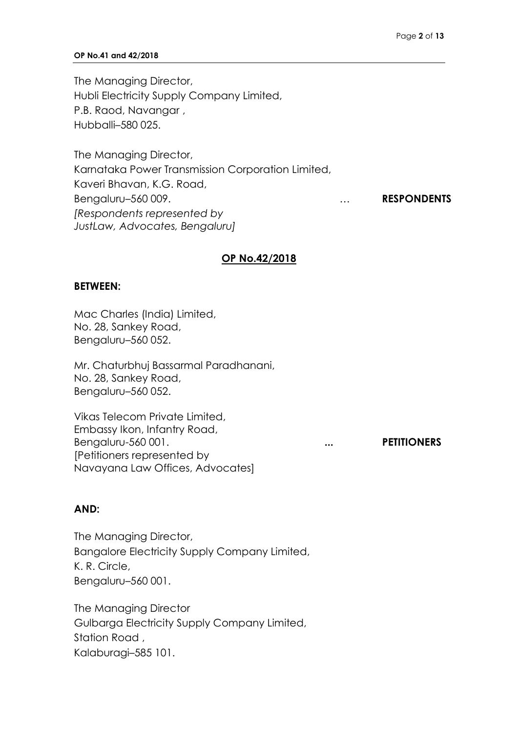#### **OP No.41 and 42/2018**

The Managing Director, Hubli Electricity Supply Company Limited, P.B. Raod, Navangar , Hubballi–580 025.

The Managing Director, Karnataka Power Transmission Corporation Limited, Kaveri Bhavan, K.G. Road, Bengaluru–560 009. … **RESPONDENTS** *[Respondents represented by JustLaw, Advocates, Bengaluru]*

### **OP No.42/2018**

### **BETWEEN:**

Mac Charles (India) Limited, No. 28, Sankey Road, Bengaluru–560 052.

Mr. Chaturbhuj Bassarmal Paradhanani, No. 28, Sankey Road, Bengaluru–560 052.

Vikas Telecom Private Limited, Embassy Ikon, Infantry Road, Bengaluru-560 001. **... ... PETITIONERS** [Petitioners represented by Navayana Law Offices, Advocates]

## **AND:**

The Managing Director, Bangalore Electricity Supply Company Limited, K. R. Circle, Bengaluru–560 001.

The Managing Director Gulbarga Electricity Supply Company Limited, Station Road , Kalaburagi–585 101.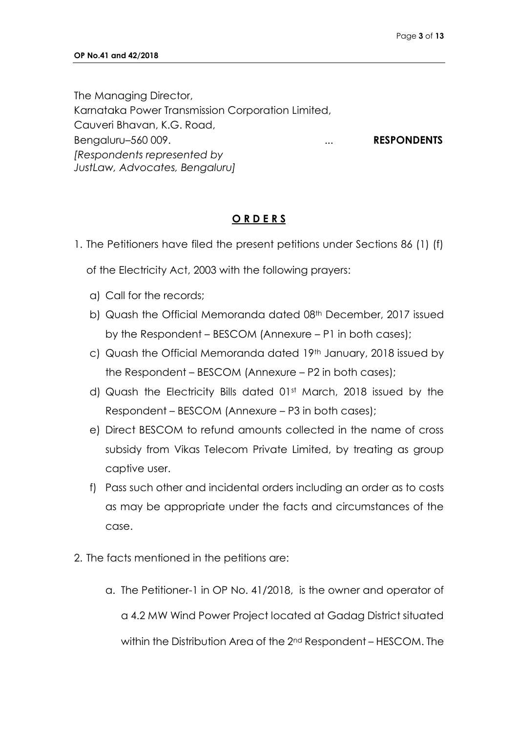The Managing Director, Karnataka Power Transmission Corporation Limited, Cauveri Bhavan, K.G. Road, Bengaluru–560 009. **... ... RESPONDENTS** *[Respondents represented by JustLaw, Advocates, Bengaluru]*

## **O R D E R S**

1. The Petitioners have filed the present petitions under Sections 86 (1) (f)

of the Electricity Act, 2003 with the following prayers:

- a) Call for the records;
- b) Quash the Official Memoranda dated 08<sup>th</sup> December, 2017 issued by the Respondent – BESCOM (Annexure – P1 in both cases);
- c) Quash the Official Memoranda dated 19th January, 2018 issued by the Respondent – BESCOM (Annexure – P2 in both cases);
- d) Quash the Electricity Bills dated 01st March, 2018 issued by the Respondent – BESCOM (Annexure – P3 in both cases);
- e) Direct BESCOM to refund amounts collected in the name of cross subsidy from Vikas Telecom Private Limited, by treating as group captive user.
- f) Pass such other and incidental orders including an order as to costs as may be appropriate under the facts and circumstances of the case.
- 2. The facts mentioned in the petitions are:
	- a. The Petitioner-1 in OP No. 41/2018, is the owner and operator of a 4.2 MW Wind Power Project located at Gadag District situated within the Distribution Area of the 2nd Respondent – HESCOM. The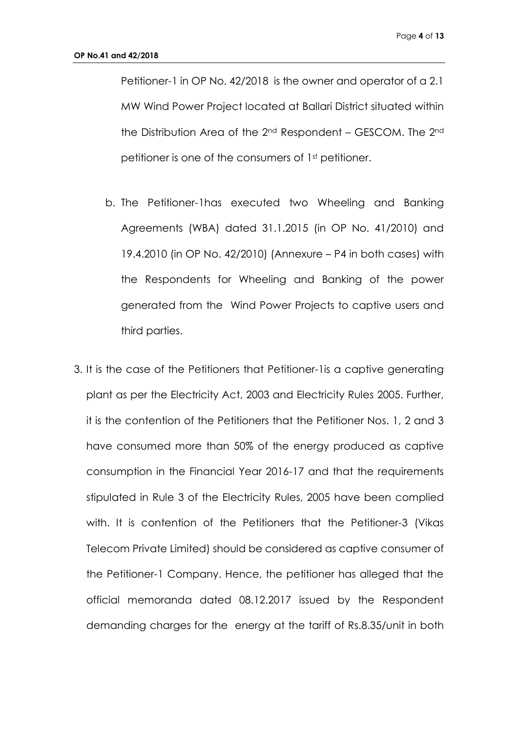Petitioner-1 in OP No. 42/2018 is the owner and operator of a 2.1 MW Wind Power Project located at Ballari District situated within the Distribution Area of the 2nd Respondent – GESCOM. The 2nd petitioner is one of the consumers of 1st petitioner.

- b. The Petitioner-1has executed two Wheeling and Banking Agreements (WBA) dated 31.1.2015 (in OP No. 41/2010) and 19.4.2010 (in OP No. 42/2010) (Annexure – P4 in both cases) with the Respondents for Wheeling and Banking of the power generated from the Wind Power Projects to captive users and third parties.
- 3. It is the case of the Petitioners that Petitioner-1is a captive generating plant as per the Electricity Act, 2003 and Electricity Rules 2005. Further, it is the contention of the Petitioners that the Petitioner Nos. 1, 2 and 3 have consumed more than 50% of the energy produced as captive consumption in the Financial Year 2016-17 and that the requirements stipulated in Rule 3 of the Electricity Rules, 2005 have been complied with. It is contention of the Petitioners that the Petitioner-3 (Vikas Telecom Private Limited) should be considered as captive consumer of the Petitioner-1 Company. Hence, the petitioner has alleged that the official memoranda dated 08.12.2017 issued by the Respondent demanding charges for the energy at the tariff of Rs.8.35/unit in both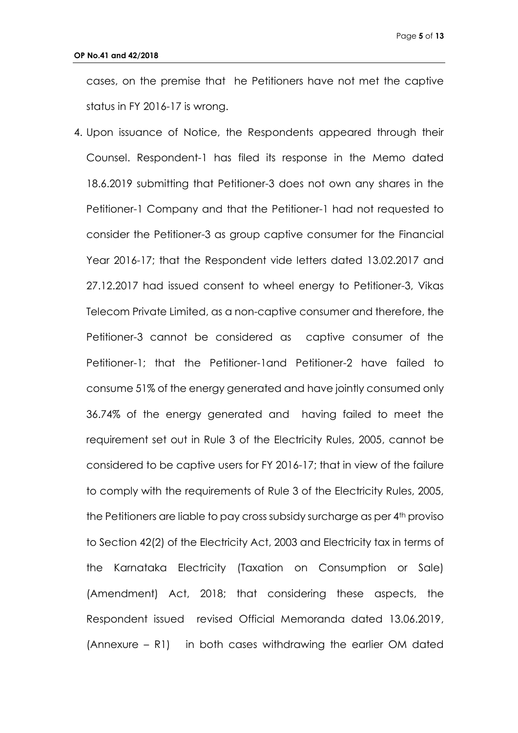cases, on the premise that he Petitioners have not met the captive status in FY 2016-17 is wrong.

4. Upon issuance of Notice, the Respondents appeared through their Counsel. Respondent-1 has filed its response in the Memo dated 18.6.2019 submitting that Petitioner-3 does not own any shares in the Petitioner-1 Company and that the Petitioner-1 had not requested to consider the Petitioner-3 as group captive consumer for the Financial Year 2016-17; that the Respondent vide letters dated 13.02.2017 and 27.12.2017 had issued consent to wheel energy to Petitioner-3, Vikas Telecom Private Limited, as a non-captive consumer and therefore, the Petitioner-3 cannot be considered as captive consumer of the Petitioner-1; that the Petitioner-1and Petitioner-2 have failed to consume 51% of the energy generated and have jointly consumed only 36.74% of the energy generated and having failed to meet the requirement set out in Rule 3 of the Electricity Rules, 2005, cannot be considered to be captive users for FY 2016-17; that in view of the failure to comply with the requirements of Rule 3 of the Electricity Rules, 2005, the Petitioners are liable to pay cross subsidy surcharge as per 4<sup>th</sup> proviso to Section 42(2) of the Electricity Act, 2003 and Electricity tax in terms of the Karnataka Electricity (Taxation on Consumption or Sale) (Amendment) Act, 2018; that considering these aspects, the Respondent issued revised Official Memoranda dated 13.06.2019, (Annexure – R1) in both cases withdrawing the earlier OM dated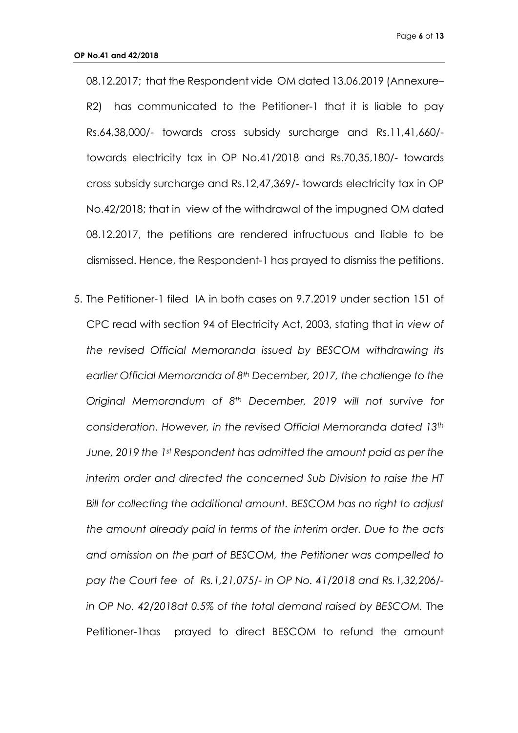08.12.2017; that the Respondent vide OM dated 13.06.2019 (Annexure– R2) has communicated to the Petitioner-1 that it is liable to pay Rs.64,38,000/- towards cross subsidy surcharge and Rs.11,41,660/ towards electricity tax in OP No.41/2018 and Rs.70,35,180/- towards cross subsidy surcharge and Rs.12,47,369/- towards electricity tax in OP No.42/2018; that in view of the withdrawal of the impugned OM dated 08.12.2017, the petitions are rendered infructuous and liable to be dismissed. Hence, the Respondent-1 has prayed to dismiss the petitions.

5. The Petitioner-1 filed IA in both cases on 9.7.2019 under section 151 of CPC read with section 94 of Electricity Act, 2003, stating that i*n view of the revised Official Memoranda issued by BESCOM withdrawing its earlier Official Memoranda of 8th December, 2017, the challenge to the Original Memorandum of 8th December, 2019 will not survive for consideration. However, in the revised Official Memoranda dated 13th June, 2019 the 1st Respondent has admitted the amount paid as per the interim order and directed the concerned Sub Division to raise the HT Bill for collecting the additional amount. BESCOM has no right to adjust the amount already paid in terms of the interim order. Due to the acts and omission on the part of BESCOM, the Petitioner was compelled to pay the Court fee of Rs.1,21,075/- in OP No. 41/2018 and Rs.1,32,206/ in OP No. 42/2018at 0.5% of the total demand raised by BESCOM.* The Petitioner-1has prayed to direct BESCOM to refund the amount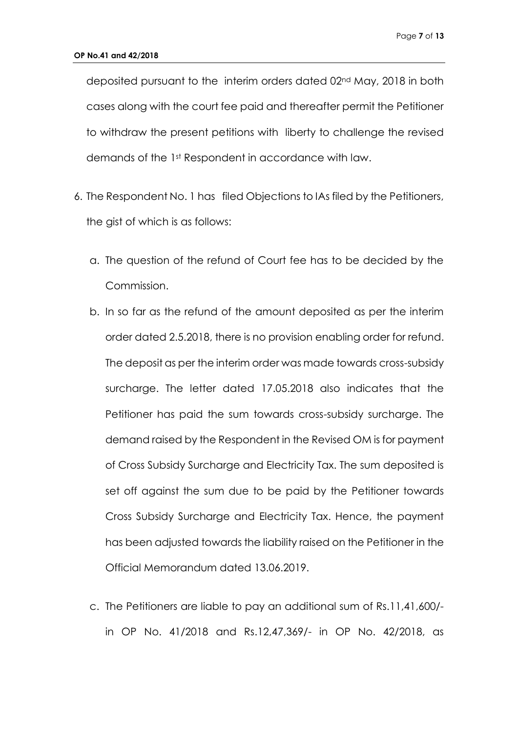deposited pursuant to the interim orders dated 02nd May, 2018 in both cases along with the court fee paid and thereafter permit the Petitioner to withdraw the present petitions with liberty to challenge the revised demands of the 1st Respondent in accordance with law.

- 6. The Respondent No. 1 has filed Objections to IAs filed by the Petitioners, the gist of which is as follows:
	- a. The question of the refund of Court fee has to be decided by the Commission.
	- b. In so far as the refund of the amount deposited as per the interim order dated 2.5.2018, there is no provision enabling order for refund. The deposit as per the interim order was made towards cross-subsidy surcharge. The letter dated 17.05.2018 also indicates that the Petitioner has paid the sum towards cross-subsidy surcharge. The demand raised by the Respondent in the Revised OM is for payment of Cross Subsidy Surcharge and Electricity Tax. The sum deposited is set off against the sum due to be paid by the Petitioner towards Cross Subsidy Surcharge and Electricity Tax. Hence, the payment has been adjusted towards the liability raised on the Petitioner in the Official Memorandum dated 13.06.2019.
	- c. The Petitioners are liable to pay an additional sum of Rs.11,41,600/ in OP No. 41/2018 and Rs.12,47,369/- in OP No. 42/2018, as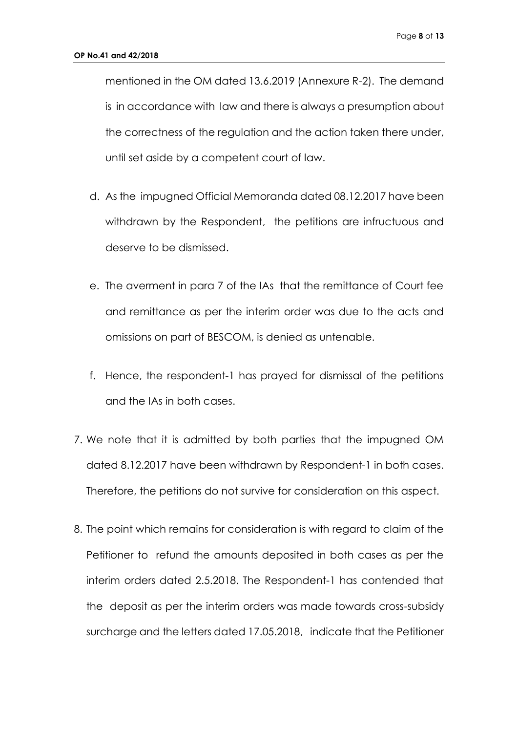mentioned in the OM dated 13.6.2019 (Annexure R-2). The demand is in accordance with law and there is always a presumption about the correctness of the regulation and the action taken there under, until set aside by a competent court of law.

- d. As the impugned Official Memoranda dated 08.12.2017 have been withdrawn by the Respondent, the petitions are infructuous and deserve to be dismissed.
- e. The averment in para 7 of the IAs that the remittance of Court fee and remittance as per the interim order was due to the acts and omissions on part of BESCOM, is denied as untenable.
- f. Hence, the respondent-1 has prayed for dismissal of the petitions and the IAs in both cases.
- 7. We note that it is admitted by both parties that the impugned OM dated 8.12.2017 have been withdrawn by Respondent-1 in both cases. Therefore, the petitions do not survive for consideration on this aspect.
- 8. The point which remains for consideration is with regard to claim of the Petitioner to refund the amounts deposited in both cases as per the interim orders dated 2.5.2018. The Respondent-1 has contended that the deposit as per the interim orders was made towards cross-subsidy surcharge and the letters dated 17.05.2018, indicate that the Petitioner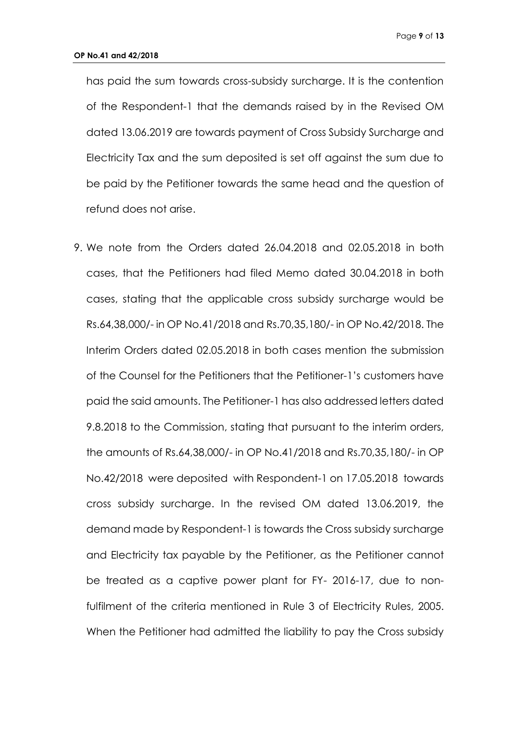has paid the sum towards cross-subsidy surcharge. It is the contention of the Respondent-1 that the demands raised by in the Revised OM dated 13.06.2019 are towards payment of Cross Subsidy Surcharge and Electricity Tax and the sum deposited is set off against the sum due to be paid by the Petitioner towards the same head and the question of refund does not arise.

9. We note from the Orders dated 26.04.2018 and 02.05.2018 in both cases, that the Petitioners had filed Memo dated 30.04.2018 in both cases, stating that the applicable cross subsidy surcharge would be Rs.64,38,000/- in OP No.41/2018 and Rs.70,35,180/- in OP No.42/2018. The Interim Orders dated 02.05.2018 in both cases mention the submission of the Counsel for the Petitioners that the Petitioner-1's customers have paid the said amounts. The Petitioner-1 has also addressed letters dated 9.8.2018 to the Commission, stating that pursuant to the interim orders, the amounts of Rs.64,38,000/- in OP No.41/2018 and Rs.70,35,180/- in OP No.42/2018 were deposited with Respondent-1 on 17.05.2018 towards cross subsidy surcharge. In the revised OM dated 13.06.2019, the demand made by Respondent-1 is towards the Cross subsidy surcharge and Electricity tax payable by the Petitioner, as the Petitioner cannot be treated as a captive power plant for FY- 2016-17, due to nonfulfilment of the criteria mentioned in Rule 3 of Electricity Rules, 2005. When the Petitioner had admitted the liability to pay the Cross subsidy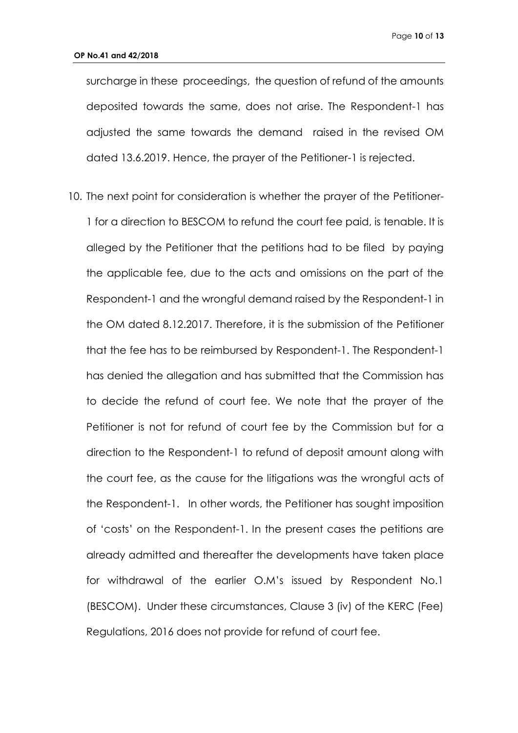surcharge in these proceedings, the question of refund of the amounts deposited towards the same, does not arise. The Respondent-1 has adjusted the same towards the demand raised in the revised OM dated 13.6.2019. Hence, the prayer of the Petitioner-1 is rejected.

10. The next point for consideration is whether the prayer of the Petitioner-1 for a direction to BESCOM to refund the court fee paid, is tenable. It is alleged by the Petitioner that the petitions had to be filed by paying the applicable fee, due to the acts and omissions on the part of the Respondent-1 and the wrongful demand raised by the Respondent-1 in the OM dated 8.12.2017. Therefore, it is the submission of the Petitioner that the fee has to be reimbursed by Respondent-1. The Respondent-1 has denied the allegation and has submitted that the Commission has to decide the refund of court fee. We note that the prayer of the Petitioner is not for refund of court fee by the Commission but for a direction to the Respondent-1 to refund of deposit amount along with the court fee, as the cause for the litigations was the wrongful acts of the Respondent-1. In other words, the Petitioner has sought imposition of 'costs' on the Respondent-1. In the present cases the petitions are already admitted and thereafter the developments have taken place for withdrawal of the earlier O.M's issued by Respondent No.1 (BESCOM). Under these circumstances, Clause 3 (iv) of the KERC (Fee) Regulations, 2016 does not provide for refund of court fee.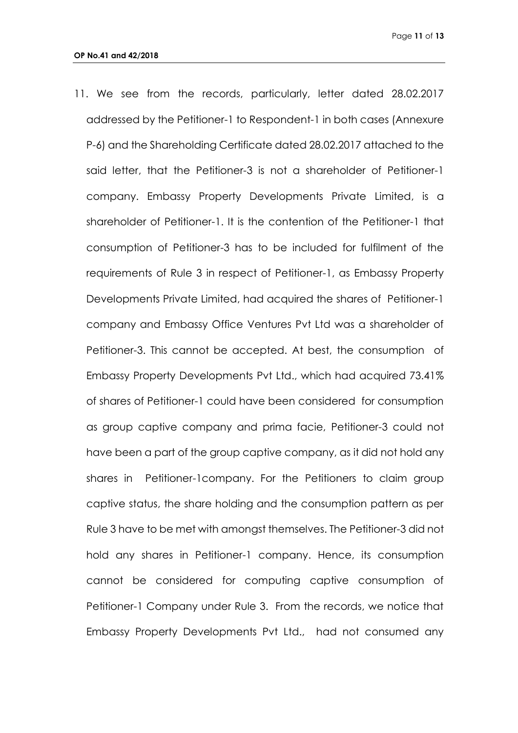11. We see from the records, particularly, letter dated 28.02.2017 addressed by the Petitioner-1 to Respondent-1 in both cases (Annexure P-6) and the Shareholding Certificate dated 28.02.2017 attached to the said letter, that the Petitioner-3 is not a shareholder of Petitioner-1 company. Embassy Property Developments Private Limited, is a shareholder of Petitioner-1. It is the contention of the Petitioner-1 that consumption of Petitioner-3 has to be included for fulfilment of the requirements of Rule 3 in respect of Petitioner-1, as Embassy Property Developments Private Limited, had acquired the shares of Petitioner-1 company and Embassy Office Ventures Pvt Ltd was a shareholder of Petitioner-3. This cannot be accepted. At best, the consumption of Embassy Property Developments Pvt Ltd., which had acquired 73.41% of shares of Petitioner-1 could have been considered for consumption as group captive company and prima facie, Petitioner-3 could not have been a part of the group captive company, as it did not hold any shares in Petitioner-1company. For the Petitioners to claim group captive status, the share holding and the consumption pattern as per Rule 3 have to be met with amongst themselves. The Petitioner-3 did not hold any shares in Petitioner-1 company. Hence, its consumption cannot be considered for computing captive consumption of Petitioner-1 Company under Rule 3. From the records, we notice that Embassy Property Developments Pvt Ltd., had not consumed any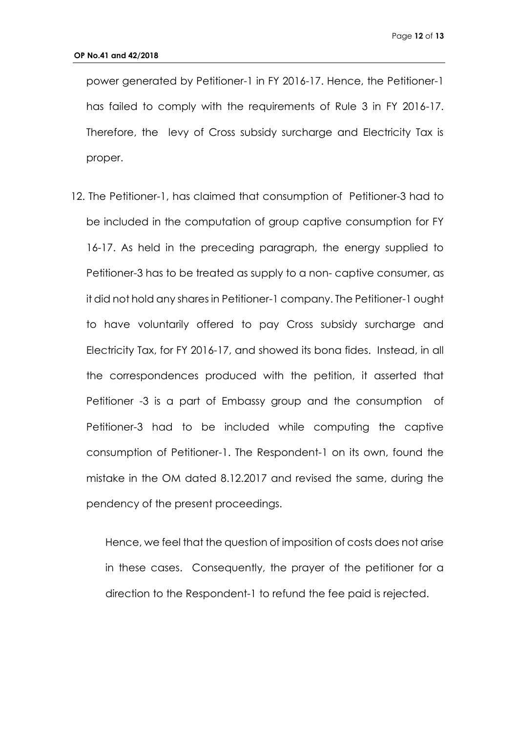power generated by Petitioner-1 in FY 2016-17. Hence, the Petitioner-1 has failed to comply with the requirements of Rule 3 in FY 2016-17. Therefore, the levy of Cross subsidy surcharge and Electricity Tax is proper.

12. The Petitioner-1, has claimed that consumption of Petitioner-3 had to be included in the computation of group captive consumption for FY 16-17. As held in the preceding paragraph, the energy supplied to Petitioner-3 has to be treated as supply to a non- captive consumer, as it did not hold any shares in Petitioner-1 company. The Petitioner-1 ought to have voluntarily offered to pay Cross subsidy surcharge and Electricity Tax, for FY 2016-17, and showed its bona fides. Instead, in all the correspondences produced with the petition, it asserted that Petitioner -3 is a part of Embassy group and the consumption of Petitioner-3 had to be included while computing the captive consumption of Petitioner-1. The Respondent-1 on its own, found the mistake in the OM dated 8.12.2017 and revised the same, during the pendency of the present proceedings.

Hence, we feel that the question of imposition of costs does not arise in these cases. Consequently, the prayer of the petitioner for a direction to the Respondent-1 to refund the fee paid is rejected.